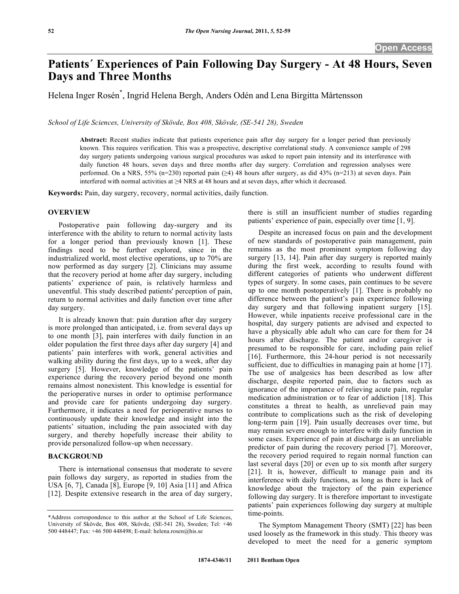# **Patients´ Experiences of Pain Following Day Surgery - At 48 Hours, Seven Days and Three Months**

Helena Inger Rosén\* , Ingrid Helena Bergh, Anders Odén and Lena Birgitta Mårtensson

*School of Life Sciences, University of Skövde, Box 408, Skövde, (SE-541 28), Sweden* 

**Abstract:** Recent studies indicate that patients experience pain after day surgery for a longer period than previously known. This requires verification. This was a prospective, descriptive correlational study. A convenience sample of 298 day surgery patients undergoing various surgical procedures was asked to report pain intensity and its interference with daily function 48 hours, seven days and three months after day surgery. Correlation and regression analyses were performed. On a NRS, 55% (n=230) reported pain ( $\geq 4$ ) 48 hours after surgery, as did 43% (n=213) at seven days. Pain interfered with normal activities at  $\geq$ 4 NRS at 48 hours and at seven days, after which it decreased.

**Keywords:** Pain, day surgery, recovery, normal activities, daily function.

## **OVERVIEW**

 Postoperative pain following day-surgery and its interference with the ability to return to normal activity lasts for a longer period than previously known [1]. These findings need to be further explored, since in the industrialized world, most elective operations, up to 70% are now performed as day surgery [2]. Clinicians may assume that the recovery period at home after day surgery, including patients' experience of pain, is relatively harmless and uneventful. This study described patients' perception of pain, return to normal activities and daily function over time after day surgery.

 It is already known that: pain duration after day surgery is more prolonged than anticipated, i.e. from several days up to one month [3], pain interferes with daily function in an older population the first three days after day surgery [4] and patients' pain interferes with work, general activities and walking ability during the first days, up to a week, after day surgery [5]. However, knowledge of the patients' pain experience during the recovery period beyond one month remains almost nonexistent. This knowledge is essential for the perioperative nurses in order to optimise performance and provide care for patients undergoing day surgery. Furthermore, it indicates a need for perioperative nurses to continuously update their knowledge and insight into the patients' situation, including the pain associated with day surgery, and thereby hopefully increase their ability to provide personalized follow-up when necessary.

## **BACKGROUND**

 There is international consensus that moderate to severe pain follows day surgery, as reported in studies from the USA [6, 7], Canada [8], Europe [9, 10] Asia [11] and Africa [12]. Despite extensive research in the area of day surgery, there is still an insufficient number of studies regarding patients' experience of pain, especially over time [1, 9].

 Despite an increased focus on pain and the development of new standards of postoperative pain management, pain remains as the most prominent symptom following day surgery [13, 14]. Pain after day surgery is reported mainly during the first week, according to results found with different categories of patients who underwent different types of surgery. In some cases, pain continues to be severe up to one month postoperatively [1]. There is probably no difference between the patient's pain experience following day surgery and that following inpatient surgery [15]. However, while inpatients receive professional care in the hospital, day surgery patients are advised and expected to have a physically able adult who can care for them for 24 hours after discharge. The patient and/or caregiver is presumed to be responsible for care, including pain relief [16]. Furthermore, this 24-hour period is not necessarily sufficient, due to difficulties in managing pain at home [17]. The use of analgesics has been described as low after discharge, despite reported pain, due to factors such as ignorance of the importance of relieving acute pain, regular medication administration or to fear of addiction [18]. This constitutes a threat to health, as unrelieved pain may contribute to complications such as the risk of developing long-term pain [19]. Pain usually decreases over time, but may remain severe enough to interfere with daily function in some cases. Experience of pain at discharge is an unreliable predictor of pain during the recovery period [7]. Moreover, the recovery period required to regain normal function can last several days [20] or even up to six month after surgery [21]. It is, however, difficult to manage pain and its interference with daily functions, as long as there is lack of knowledge about the trajectory of the pain experience following day surgery. It is therefore important to investigate patients' pain experiences following day surgery at multiple time-points.

 The Symptom Management Theory (SMT) [22] has been used loosely as the framework in this study.. This theory was developed to meet the need for a generic symptom

<sup>\*</sup>Address correspondence to this author at the School of Life Sciences, University of Skövde, Box 408, Skövde, (SE-541 28), Sweden; Tel: +46 500 448447; Fax: +46 500 448498; E-mail: helena.rosen@his.se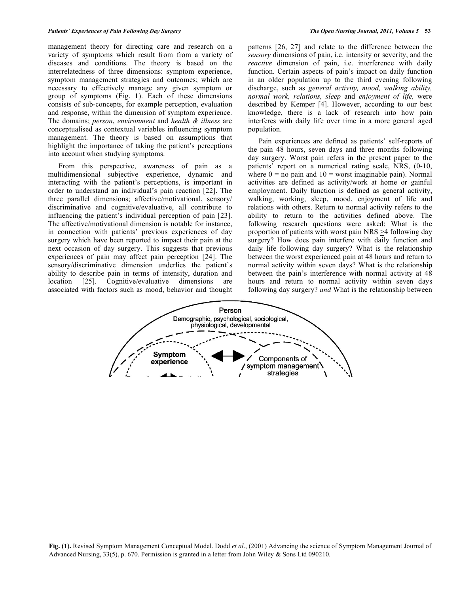management theory for directing care and research on a variety of symptoms which result from from a variety of diseases and conditions. The theory is based on the interrelatedness of three dimensions: symptom experience, symptom management strategies and outcomes; which are necessary to effectively manage any given symptom or group of symptoms (Fig. **1**). Each of these dimensions consists of sub-concepts, for example perception, evaluation and response, within the dimension of symptom experience. The domains; *person*, *environment* and *health & illness* are conceptualised as contextual variables influencing symptom management. The theory is based on assumptions that highlight the importance of taking the patient's perceptions into account when studying symptoms.

 From this perspective, awareness of pain as a multidimensional subjective experience, dynamic and interacting with the patient's perceptions, is important in order to understand an individual's pain reaction [22]. The three parallel dimensions; affective/motivational, sensory/ discriminative and cognitive/evaluative, all contribute to influencing the patient's individual perception of pain [23]. The affective/motivational dimension is notable for instance, in connection with patients' previous experiences of day surgery which have been reported to impact their pain at the next occasion of day surgery. This suggests that previous experiences of pain may affect pain perception [24]. The sensory/discriminative dimension underlies the patient's ability to describe pain in terms of intensity, duration and location [25]*.* Cognitive/evaluative dimensions are associated with factors such as mood, behavior and thought patterns [26, 27] and relate to the difference between the *sensory* dimensions of pain, i.e. intensity or severity, and the *reactive* dimension of pain, i.e. interference with daily function. Certain aspects of pain's impact on daily function in an older population up to the third evening following discharge, such as *general activity, mood, walking ability, normal work, relations, sleep* and *enjoyment of life,* were described by Kemper [4]. However, according to our best knowledge, there is a lack of research into how pain interferes with daily life over time in a more general aged population.

 Pain experiences are defined as patients' self-reports of the pain 48 hours, seven days and three months following day surgery. Worst pain refers in the present paper to the patients' report on a numerical rating scale, NRS, (0-10, where  $0 =$  no pain and  $10 =$  worst imaginable pain). Normal activities are defined as activity/work at home or gainful employment. Daily function is defined as general activity, walking, working, sleep, mood, enjoyment of life and relations with others. Return to normal activity refers to the ability to return to the activities defined above. The following research questions were asked: What is the proportion of patients with worst pain NRS  $\geq$ 4 following day surgery? How does pain interfere with daily function and daily life following day surgery? What is the relationship between the worst experienced pain at 48 hours and return to normal activity within seven days? What is the relationship between the pain's interference with normal activity at 48 hours and return to normal activity within seven days following day surgery? *and* What is the relationship between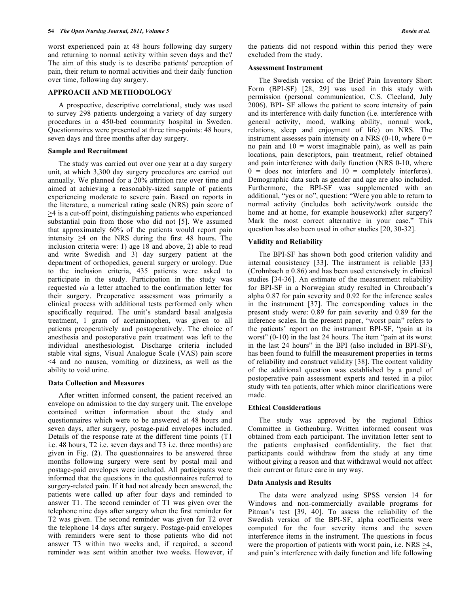worst experienced pain at 48 hours following day surgery and returning to normal activity within seven days and the? The aim of this study is to describe patients' perception of pain, their return to normal activities and their daily function over time, following day surgery.

#### **APPROACH AND METHODOLOGY**

 A prospective, descriptive correlational, study was used to survey 298 patients undergoing a variety of day surgery procedures in a 450-bed community hospital in Sweden. Questionnaires were presented at three time-points: 48 hours, seven days and three months after day surgery.

#### **Sample and Recruitment**

 The study was carried out over one year at a day surgery unit, at which 3,300 day surgery procedures are carried out annually. We planned for a 20% attrition rate over time and aimed at achieving a reasonably-sized sample of patients experiencing moderate to severe pain. Based on reports in the literature, a numerical rating scale (NRS) pain score of  $\geq$ 4 is a cut-off point, distinguishing patients who experienced substantial pain from those who did not [5]. We assumed that approximately 60% of the patients would report pain intensity  $\geq 4$  on the NRS during the first 48 hours. The inclusion criteria were: 1) age 18 and above, 2) able to read and write Swedish and 3) day surgery patient at the department of orthopedics, general surgery or urology. Due to the inclusion criteria, 435 patients were asked to participate in the study. Participation in the study was requested *via* a letter attached to the confirmation letter for their surgery. Preoperative assessment was primarily a clinical process with additional tests performed only when specifically required. The unit's standard basal analgesia treatment, 1 gram of acetaminophen, was given to all patients preoperatively and postoperatively. The choice of anesthesia and postoperative pain treatment was left to the individual anesthesiologist. Discharge criteria included stable vital signs, Visual Analogue Scale (VAS) pain score  $\leq$ 4 and no nausea, vomiting or dizziness, as well as the ability to void urine.

#### **Data Collection and Measures**

 After written informed consent, the patient received an envelope on admission to the day surgery unit. The envelope contained written information about the study and questionnaires which were to be answered at 48 hours and seven days, after surgery, postage-paid envelopes included. Details of the response rate at the different time points (T1 i.e. 48 hours, T2 i.e. seven days and T3 i.e. three months) are given in Fig. (**2**). The questionnaires to be answered three months following surgery were sent by postal mail and postage-paid envelopes were included. All participants were informed that the questions in the questionnaires referred to surgery-related pain. If it had not already been answered, the patients were called up after four days and reminded to answer T1. The second reminder of T1 was given over the telephone nine days after surgery when the first reminder for T2 was given. The second reminder was given for T2 over the telephone 14 days after surgery. Postage-paid envelopes with reminders were sent to those patients who did not answer T3 within two weeks and, if required, a second reminder was sent within another two weeks. However, if the patients did not respond within this period they were excluded from the study.

#### **Assessment Instrument**

 The Swedish version of the Brief Pain Inventory Short Form (BPI-SF) [28, 29] was used in this study with permission (personal communication, C.S. Cleeland, July 2006). BPI- SF allows the patient to score intensity of pain and its interference with daily function (i.e. interference with general activity, mood, walking ability, normal work, relations, sleep and enjoyment of life) on NRS. The instrument assesses pain intensity on a NRS  $(0-10)$ , where  $0 =$ no pain and  $10 =$  worst imaginable pain), as well as pain locations, pain descriptors, pain treatment, relief obtained and pain interference with daily function (NRS 0-10, where  $0 =$  does not interfere and  $10 =$  completely interferes). Demographic data such as gender and age are also included. Furthermore, the BPI-SF was supplemented with an additional, "yes or no", question: "Were you able to return to normal activity (includes both activity/work outside the home and at home, for example housework) after surgery? Mark the most correct alternative in your case." This question has also been used in other studies [20, 30-32].

## **Validity and Reliability**

 The BPI-SF has shown both good criterion validity and internal consistency [33]. The instrument is reliable [33] (Crohnbach  $\alpha$  0.86) and has been used extensively in clinical studies [34-36]. An estimate of the measurement reliability for BPI-SF in a Norwegian study resulted in Chronbach's alpha 0.87 for pain severity and 0.92 for the inference scales in the instrument [37]. The corresponding values in the present study were: 0.89 for pain severity and 0.89 for the inference scales. In the present paper, "worst pain" refers to the patients' report on the instrument BPI-SF, "pain at its worst" (0-10) in the last 24 hours. The item "pain at its worst in the last 24 hours" in the BPI (also included in BPI-SF), has been found to fulfill the measurement properties in terms of reliability and construct validity [38]. The content validity of the additional question was established by a panel of postoperative pain assessment experts and tested in a pilot study with ten patients, after which minor clarifications were made.

#### **Ethical Considerations**

 The study was approved by the regional Ethics Committee in Gothenburg. Written informed consent was obtained from each participant. The invitation letter sent to the patients emphasised confidentiality, the fact that participants could withdraw from the study at any time without giving a reason and that withdrawal would not affect their current or future care in any way.

#### **Data Analysis and Results**

 The data were analyzed using SPSS version 14 for Windows and non-commercially available programs for Pitman's test [39, 40]. To assess the reliability of the Swedish version of the BPI-SF, alpha coefficients were computed for the four severity items and the seven interference items in the instrument. The questions in focus were the proportion of patients with worst pain, i.e. NRS  $\geq 4$ , and pain's interference with daily function and life following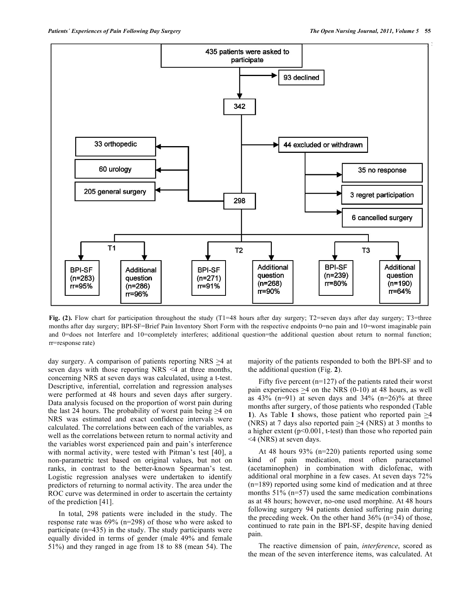

**Fig. (2).** Flow chart for participation throughout the study (T1=48 hours after day surgery; T2=seven days after day surgery; T3=three months after day surgery; BPI-SF=Brief Pain Inventory Short Form with the respective endpoints 0=no pain and 10=worst imaginable pain and 0=does not Interfere and 10=completely interferes; additional question=the additional question about return to normal function; rr=response rate)

day surgery. A comparison of patients reporting NRS  $\geq$ 4 at seven days with those reporting NRS <4 at three months, concerning NRS at seven days was calculated, using a t-test. Descriptive, inferential, correlation and regression analyses were performed at 48 hours and seven days after surgery. Data analysis focused on the proportion of worst pain during the last 24 hours. The probability of worst pain being  $\geq 4$  on NRS was estimated and exact confidence intervals were calculated. The correlations between each of the variables, as well as the correlations between return to normal activity and the variables worst experienced pain and pain's interference with normal activity, were tested with Pitman's test [40], a non-parametric test based on original values, but not on ranks, in contrast to the better-known Spearman's test. Logistic regression analyses were undertaken to identify predictors of returning to normal activity. The area under the ROC curve was determined in order to ascertain the certainty of the prediction [41].

 In total, 298 patients were included in the study. The response rate was 69% (n=298) of those who were asked to participate (n=435) in the study. The study participants were equally divided in terms of gender (male 49% and female 51%) and they ranged in age from 18 to 88 (mean 54). The majority of the patients responded to both the BPI-SF and to the additional question (Fig. **2**).

Fifty five percent  $(n=127)$  of the patients rated their worst pain experiences  $\geq$ 4 on the NRS (0-10) at 48 hours, as well as  $43\%$  (n=91) at seven days and  $34\%$  (n=26)% at three months after surgery, of those patients who responded (Table **1**). As Table **1** shows, those patient who reported pain >4 (NRS) at 7 days also reported pain  $\geq$ 4 (NRS) at 3 months to a higher extent  $(p<0.001$ , t-test) than those who reported pain <4 (NRS) at seven days.

 At 48 hours 93% (n=220) patients reported using some kind of pain medication, most often paracetamol (acetaminophen) in combination with diclofenac, with additional oral morphine in a few cases. At seven days 72% (n=189) reported using some kind of medication and at three months 51% (n=57) used the same medication combinations as at 48 hours; however, no-one used morphine. At 48 hours following surgery 94 patients denied suffering pain during the preceding week. On the other hand  $36\%$  (n=34) of those, continued to rate pain in the BPI-SF, despite having denied pain.

 The reactive dimension of pain, *interference*, scored as the mean of the seven interference items, was calculated. At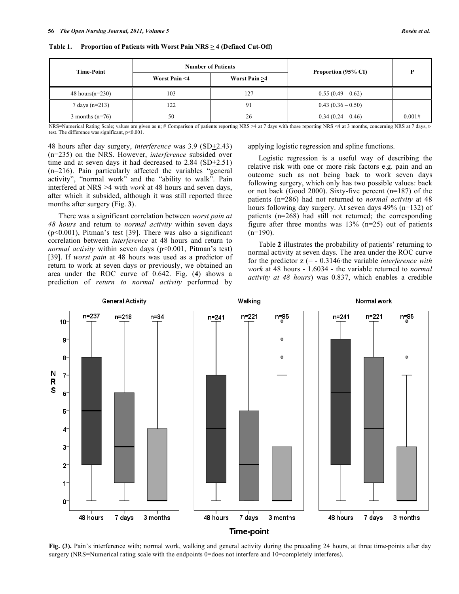| <b>Time-Point</b>   |               | <b>Number of Patients</b> | Proportion (95% CI)<br>$0.55(0.49-0.62)$ |        |
|---------------------|---------------|---------------------------|------------------------------------------|--------|
|                     | Worst Pain <4 | Worst Pain >4             |                                          |        |
| 48 hours( $n=230$ ) | 103           | 127                       |                                          |        |
| 7 days $(n=213)$    | 122           | 91                        | $0.43(0.36-0.50)$                        |        |
| 3 months $(n=76)$   | 50            | 26                        | $0.34(0.24-0.46)$                        | 0.001# |

Table 1. Proportion of Patients with Worst Pain NRS  $\geq$  4 (Defined Cut-Off)

NRS=Numerical Rating Scale; values are given as n; # Comparison of patients reporting NRS  $\geq 4$  at 7 days with those reporting NRS <4 at 3 months, concerning NRS at 7 days, ttest. The difference was significant, p<0.001.

48 hours after day surgery, *interference* was 3.9 (SD+2.43) (n=235) on the NRS. However, *interference* subsided over time and at seven days it had decreased to  $2.84$  (SD $\pm 2.51$ ) (n=216). Pain particularly affected the variables "general activity", "normal work" and the "ability to walk". Pain interfered at NRS >4 with *work* at 48 hours and seven days, after which it subsided, although it was still reported three months after surgery (Fig. **3**).

 There was a significant correlation between *worst pain at 48 hours* and return to *normal activity* within seven days (p<0.001), Pitman's test [39]. There was also a significant correlation between *interference* at 48 hours and return to *normal activity* within seven days (p<0.001, Pitman's test) [39]. If *worst pain* at 48 hours was used as a predictor of return to work at seven days or previously, we obtained an area under the ROC curve of 0.642. Fig. (**4**) shows a prediction of *return to normal activity* performed by

applying logistic regression and spline functions.

 Logistic regression is a useful way of describing the relative risk with one or more risk factors e.g. pain and an outcome such as not being back to work seven days following surgery, which only has two possible values: back or not back (Good 2000). Sixty-five percent (n=187) of the patients (n=286) had not returned to *normal activity* at 48 hours following day surgery. At seven days 49% (n=132) of patients (n=268) had still not returned; the corresponding figure after three months was  $13\%$  (n=25) out of patients  $(n=190)$ .

 Table **2** illustrates the probability of patients' returning to normal activity at seven days. The area under the ROC curve for the predictor  $z = -0.3146$  the variable *interference with work* at 48 hours - 1.6034 - the variable returned to *normal activity at 48 hours*) was 0.837, which enables a credible



**Fig. (3).** Pain's interference with; normal work, walking and general activity during the preceding 24 hours, at three time-points after day surgery (NRS=Numerical rating scale with the endpoints 0=does not interfere and 10=completely interferes).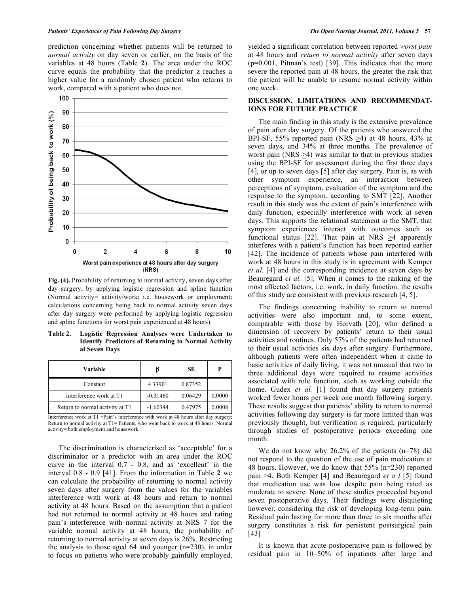prediction concerning whether patients will be returned to *normal activity* on day seven or earlier, on the basis of the variables at 48 hours (Table **2**). The area under the ROC curve equals the probability that the predictor z reaches a higher value for a randomly chosen patient who returns to work, compared with a patient who does not.



**Fig. (4).** Probability of returning to normal activity, seven days after day surgery, by applying logistic regression and spline function (Normal activity= activity/work; i.e. housework or employment; calculations concerning being back to normal activity seven days after day surgery were performed by applying logistic regression and spline functions for worst pain experienced at 48 hours).

**Table 2. Logistic Regression Analyses were Undertaken to Identify Predictors of Returning to Normal Activity at Seven Days** 

| Variable                        | B          | SЕ      | Р      |
|---------------------------------|------------|---------|--------|
| Constant                        | 4.33901    | 0.87352 |        |
| Interference work at T1         | $-0.31460$ | 0.06429 | 0.0000 |
| Return to normal activity at T1 | $-1.60344$ | 0.47975 | 0.0008 |

Interference work at T1 =Pain's interference with work at 48 hours after day surgery; Return to normal activity at T1= Patients, who went back to work at 48 hours; Normal activity= both employment and housework.

 The discrimination is characterised as 'acceptable' for a discriminator or a predictor with an area under the ROC curve in the interval 0.7 - 0.8, and as 'excellent' in the interval 0.8 - 0.9 [41]. From the information in Table **2** we can calculate the probability of returning to normal activity seven days after surgery from the values for the variables interference with work at 48 hours and return to normal activity at 48 hours. Based on the assumption that a patient had not returned to normal activity at 48 hours and rating pain's interference with normal activity at NRS 7 for the variable normal activity at 48 hours, the probability of returning to normal activity at seven days is 26%. Restricting the analysis to those aged 64 and younger (n=230), in order to focus on patients who were probably gainfully employed,

yielded a significant correlation between reported *worst pain*  at 48 hours and *return to normal activity* after seven days (p=0.001, Pitman's test) [39]. This indicates that the more severe the reported pain at 48 hours, the greater the risk that the patient will be unable to resume normal activity within one week.

## **DISCUSSION, LIMITATIONS AND RECOMMENDAT-IONS FOR FUTURE PRACTICE**

 The main finding in this study is the extensive prevalence of pain after day surgery. Of the patients who answered the BPI-SF, 55% reported pain (NRS >4) at 48 hours, 43% at seven days, and 34% at three months. The prevalence of worst pain (NRS >4) was similar to that in previous studies using the BPI-SF for assessment during the first three days [4], or up to seven days [5] after day surgery. Pain is, as with other symptom experience, an interaction between perceptions of symptom, evaluation of the symptom and the response to the symptom, according to SMT [22]. Another result in this study was the extent of pain's interference with daily function, especially interference with work at seven days. This supports the relational statement in the SMT, that symptom experiences interact with outcomes such as functional status [22]. That pain at NRS >4 apparently interferes with a patient's function has been reported earlier [42]. The incidence of patients whose pain interfered with work at 48 hours in this study is in agreement with Kemper *et al.* [4] and the corresponding incidence at seven days by Beauregard *et al.* [5]. When it comes to the ranking of the most affected factors, i.e. work, in daily function, the results of this study are consistent with previous research [4, 5].

 The findings concerning inability to return to normal activities were also important and, to some extent, comparable with those by Horvath [20], who defined a dimension of recovery by patients' return to their usual activities and routines. Only 57% of the patients had returned to their usual activities six days after surgery. Furthermore, although patients were often independent when it came to basic activities of daily living, it was not unusual that two to three additional days were required to resume activities associated with role function, such as working outside the home. Gudex *et al.* [1] found that day surgery patients worked fewer hours per week one month following surgery. These results suggest that patients' ability to return to normal activities following day surgery is far more limited than was previously thought, but verification is required, particularly through studies of postoperative periods exceeding one month.

We do not know why 26.2% of the patients (n=78) did not respond to the question of the use of pain medication at 48 hours. However, we do know that 55% (n=230) reported pain >4. Both Kemper [4] and Beauregard *et a l* [5] found that medication use was low despite pain being rated as moderate to severe. None of these studies proceeded beyond seven postoperative days. Their findings were disquieting however, considering the risk of developing long-term pain. Residual pain lasting for more than three to six months after surgery constitutes a risk for persistent postsurgical pain  $[43]$ <sup>.</sup>

 It is known that acute postoperative pain is followed by residual pain in 10–50% of inpatients after large and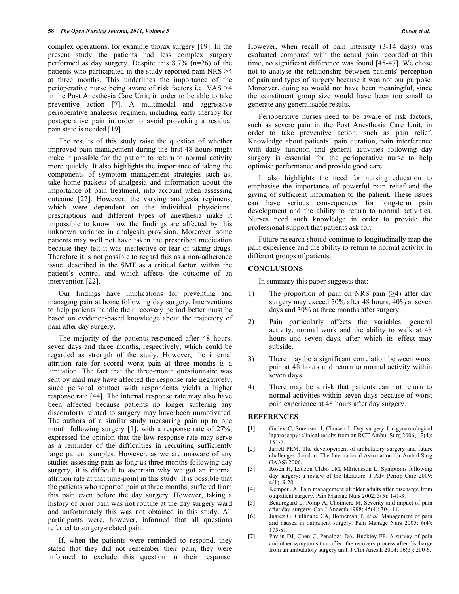complex operations, for example thorax surgery [19]. In the present study the patients had less complex surgery performed as day surgery. Despite this 8.7% (n=26) of the patients who participated in the study reported pain NRS >4 at three months. This underlines the importance of the perioperative nurse being aware of risk factors i.e. VAS  $\geq$ 4 in the Post Anesthesia Care Unit, in order to be able to take preventive action [7]. A multimodal and aggressive perioperative analgesic regimen, including early therapy for postoperative pain in order to avoid provoking a residual pain state is needed [19].

 The results of this study raise the question of whether improved pain management during the first 48 hours might make it possible for the patient to return to normal activity more quickly. It also highlights the importance of taking the components of symptom management strategies such as, take home packets of analgesia and information about the importance of pain treatment, into account when assessing outcome [22]. However, the varying analgesia regimens, which were dependent on the individual physicians' prescriptions and different types of anesthesia make it impossible to know how the findings are affected by this unknown variance in analgesia provision. Moreover, some patients may well not have taken the prescribed medication because they felt it was ineffective or fear of taking drugs. Therefore it is not possible to regard this as a non-adherence issue, described in the SMT as a critical factor, within the patient's control and which affects the outcome of an intervention [22].

 Our findings have implications for preventing and managing pain at home following day surgery. Interventions to help patients handle their recovery period better must be based on evidence-based knowledge about the trajectory of pain after day surgery.

 The majority of the patients responded after 48 hours, seven days and three months, respectively, which could be regarded as strength of the study. However, the internal attrition rate for scored worst pain at three months is a limitation. The fact that the three-month questionnaire was sent by mail may have affected the response rate negatively, since personal contact with respondents yields a higher response rate [44]. The internal response rate may also have been affected because patients no longer suffering any discomforts related to surgery may have been unmotivated. The authors of a similar study measuring pain up to one month following surgery [1], with a response rate of 27%, expressed the opinion that the low response rate may serve as a reminder of the difficulties in recruiting sufficiently large patient samples. However, as we are unaware of any studies assessing pain as long as three months following day surgery, it is difficult to ascertain why we got an internal attrition rate at that time-point in this study. It is possible that the patients who reported pain at three months, suffered from this pain even before the day surgery. However, taking a history of prior pain was not routine at the day surgery ward and unfortunately this was not obtained in this study. All participants were, however, informed that all questions referred to surgery-related pain.

 If, when the patients were reminded to respond, they stated that they did not remember their pain, they were informed to exclude this question in their response. However, when recall of pain intensity (3-14 days) was evaluated compared with the actual pain recorded at this time, no significant difference was found [45-47]. We chose not to analyse the relationship between patients' perception of pain and types of surgery because it was not our purpose. Moreover, doing so would not have been meaningful, since the constituent group size would have been too small to generate any generalisable results.

 Perioperative nurses need to be aware of risk factors, such as severe pain in the Post Anesthesia Care Unit, in order to take preventive action, such as pain relief. Knowledge about patients´ pain duration, pain interference with daily function and general activities following day surgery is essential for the perioperative nurse to help optimise performance and provide good care.

 It also highlights the need for nursing education to emphasise the importance of powerful pain relief and the giving of sufficient information to the patient. These issues can have serious consequences for long-term pain development and the ability to return to normal activities. Nurses need such knowledge in order to provide the professional support that patients ask for.

 Future research should continue to longitudinally map the pain experience and the ability to return to normal activity in different groups of patients.

## **CONCLUSIONS**

In summary this paper suggests that:

- 1) The proportion of pain on NRS pain  $(\geq 4)$  after day surgery may exceed 50% after 48 hours, 40% at seven days and 30% at three months after surgery.
- 2) Pain particularly affects the variables: general activity, normal work and the ability to walk at 48 hours and seven days, after which its effect may subside.
- 3) There may be a significant correlation between worst pain at 48 hours and return to normal activity within seven days.
- 4) There may be a risk that patients can not return to normal activities within seven days because of worst pain experience at 48 hours after day surgery.

## **REFERENCES**

- [1] Gudex C, Sorensen J, Clausen I. Day surgery for gynaecological laparoscopy: clinical results from an RCT Ambul Surg 2006; 12(4):  $151 - 7$ .
- [2] Jarrett PEM. The developement of ambulatory surgery and future challenges. London: The International Association for Ambul Surg (IAAS) 2006.
- [3] Rosén H, Lauzon Clabo LM, Mårtensson L. Symptoms following day surgery: a review of the literature. J Adv Periop Care 2009; 4(1): 9-20.
- [4] Kemper JA. Pain management of older adults after discharge from outpatient surgery. Pain Manage Nurs 2002; 3(5): 141-3.
- [5] Beauregard L, Pomp A, Choiniere M. Severity and impact of pain after day-surgery. Can J Anaesth 1998; 45(4): 304-11.
- [6] Juarez G, Cullinane CA, Borneman T*, et al.* Management of pain and nausea in outpatient surgery. Pain Manage Nurs  $2005$ ;  $6(4)$ : 175-81.
- [7] Pavlin DJ, Chen C, Penaloza DA, Buckley FP. A survey of pain and other symptoms that affect the recovery process after discharge from an ambulatory surgery unit. J Clin Anesth 2004; 16(3): 200-6.